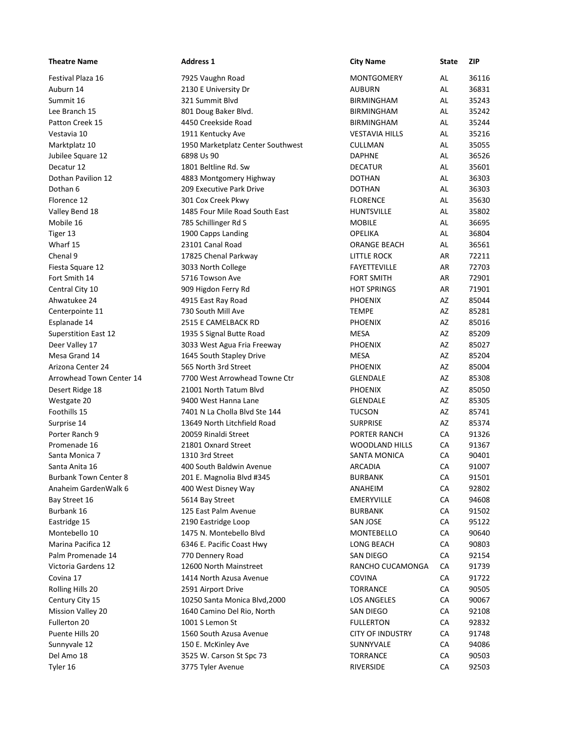| <b>Theatre Name</b>                            | <b>Address 1</b>                                        | <b>City Name</b>                           | State    | ZIP            |
|------------------------------------------------|---------------------------------------------------------|--------------------------------------------|----------|----------------|
| Festival Plaza 16                              | 7925 Vaughn Road                                        | <b>MONTGOMERY</b>                          | AL       | 36116          |
| Auburn 14                                      | 2130 E University Dr                                    | <b>AUBURN</b>                              | AL       | 36831          |
| Summit 16                                      | 321 Summit Blvd                                         | <b>BIRMINGHAM</b>                          | AL       | 35243          |
| Lee Branch 15                                  | 801 Doug Baker Blvd.                                    | <b>BIRMINGHAM</b>                          | AL       | 35242<br>35244 |
| Patton Creek 15<br>Vestavia 10                 | 4450 Creekside Road<br>1911 Kentucky Ave                | <b>BIRMINGHAM</b><br><b>VESTAVIA HILLS</b> | AL<br>AL | 35216          |
| Marktplatz 10                                  | 1950 Marketplatz Center Southwest                       | CULLMAN                                    | AL       | 35055          |
| Jubilee Square 12                              | 6898 Us 90                                              | <b>DAPHNE</b>                              | AL       | 36526          |
| Decatur 12                                     | 1801 Beltline Rd. Sw                                    | <b>DECATUR</b>                             | AL       | 35601          |
| Dothan Pavilion 12                             | 4883 Montgomery Highway                                 | <b>DOTHAN</b>                              | AL       | 36303          |
| Dothan 6                                       | 209 Executive Park Drive                                | <b>DOTHAN</b>                              | AL       | 36303          |
| Florence 12                                    | 301 Cox Creek Pkwy                                      | <b>FLORENCE</b>                            | AL       | 35630          |
| Valley Bend 18                                 | 1485 Four Mile Road South East                          | <b>HUNTSVILLE</b>                          | AL       | 35802          |
| Mobile 16<br>Tiger 13                          | 785 Schillinger Rd S<br>1900 Capps Landing              | <b>MOBILE</b><br><b>OPELIKA</b>            | AL<br>AL | 36695<br>36804 |
| Wharf 15                                       | 23101 Canal Road                                        | ORANGE BEACH                               | AL       | 36561          |
| Chenal 9                                       | 17825 Chenal Parkway                                    | <b>LITTLE ROCK</b>                         | AR       | 72211          |
| Fiesta Square 12                               | 3033 North College                                      | FAYETTEVILLE                               | AR       | 72703          |
| Fort Smith 14                                  | 5716 Towson Ave                                         | <b>FORT SMITH</b>                          | AR       | 72901          |
| Central City 10                                | 909 Higdon Ferry Rd                                     | <b>HOT SPRINGS</b>                         | AR       | 71901          |
| Ahwatukee 24                                   | 4915 East Ray Road                                      | <b>PHOENIX</b>                             | AZ       | 85044          |
| Centerpointe 11                                | 730 South Mill Ave                                      | <b>TEMPE</b>                               | AZ       | 85281          |
| Esplanade 14                                   | 2515 E CAMELBACK RD                                     | <b>PHOENIX</b><br>MESA                     | AZ<br>AZ | 85016<br>85209 |
| <b>Superstition East 12</b><br>Deer Valley 17  | 1935 S Signal Butte Road<br>3033 West Agua Fria Freeway | <b>PHOENIX</b>                             | AZ       | 85027          |
| Mesa Grand 14                                  | 1645 South Stapley Drive                                | MESA                                       | AZ       | 85204          |
| Arizona Center 24                              | 565 North 3rd Street                                    | <b>PHOENIX</b>                             | AZ       | 85004          |
| Arrowhead Town Center 14                       | 7700 West Arrowhead Towne Ctr                           | <b>GLENDALE</b>                            | AZ       | 85308          |
| Desert Ridge 18                                | 21001 North Tatum Blvd                                  | <b>PHOENIX</b>                             | AZ       | 85050          |
| Westgate 20                                    | 9400 West Hanna Lane                                    | GLENDALE                                   | AZ       | 85305          |
| Foothills 15                                   | 7401 N La Cholla Blvd Ste 144                           | <b>TUCSON</b>                              | AZ       | 85741          |
| Surprise 14                                    | 13649 North Litchfield Road                             | <b>SURPRISE</b>                            | AZ       | 85374          |
| Porter Ranch 9                                 | 20059 Rinaldi Street                                    | PORTER RANCH                               | CA       | 91326          |
| Promenade 16                                   | 21801 Oxnard Street                                     | WOODLAND HILLS                             | CA       | 91367          |
| Santa Monica 7                                 | 1310 3rd Street                                         | <b>SANTA MONICA</b>                        | CA       | 90401          |
| Santa Anita 16<br><b>Burbank Town Center 8</b> | 400 South Baldwin Avenue<br>201 E. Magnolia Blvd #345   | <b>ARCADIA</b><br><b>BURBANK</b>           | CA<br>CA | 91007<br>91501 |
| Anaheim GardenWalk 6                           | 400 West Disney Way                                     | ANAHEIM                                    | CA       | 92802          |
| Bay Street 16                                  | 5614 Bay Street                                         | <b>EMERYVILLE</b>                          | CA       | 94608          |
| Burbank 16                                     | 125 East Palm Avenue                                    | <b>BURBANK</b>                             | CA       | 91502          |
| Eastridge 15                                   | 2190 Eastridge Loop                                     | <b>SAN JOSE</b>                            | CA       | 95122          |
| Montebello 10                                  | 1475 N. Montebello Blvd                                 | MONTEBELLO                                 | CA       | 90640          |
| Marina Pacifica 12                             | 6346 E. Pacific Coast Hwy                               | LONG BEACH                                 | CA       | 90803          |
| Palm Promenade 14                              | 770 Dennery Road                                        | SAN DIEGO                                  | CA       | 92154          |
| Victoria Gardens 12                            | 12600 North Mainstreet                                  | RANCHO CUCAMONGA                           | CA       | 91739          |
| Covina 17                                      | 1414 North Azusa Avenue                                 | <b>COVINA</b>                              | CA       | 91722          |
| Rolling Hills 20                               | 2591 Airport Drive                                      | <b>TORRANCE</b>                            | CA       | 90505          |
| Century City 15                                | 10250 Santa Monica Blvd, 2000                           | <b>LOS ANGELES</b>                         | CA       | 90067          |
| <b>Mission Valley 20</b>                       | 1640 Camino Del Rio, North                              | SAN DIEGO                                  | CA       | 92108          |
| Fullerton 20                                   | 1001 S Lemon St                                         | <b>FULLERTON</b>                           | CA       | 92832          |
| Puente Hills 20                                | 1560 South Azusa Avenue                                 | <b>CITY OF INDUSTRY</b>                    | CA       | 91748          |
| Sunnyvale 12                                   | 150 E. McKinley Ave                                     | SUNNYVALE                                  | CA       | 94086          |
| Del Amo 18                                     | 3525 W. Carson St Spc 73                                | <b>TORRANCE</b><br>RIVERSIDE               | CA<br>CA | 90503          |
| Tyler 16                                       | 3775 Tyler Avenue                                       |                                            |          | 92503          |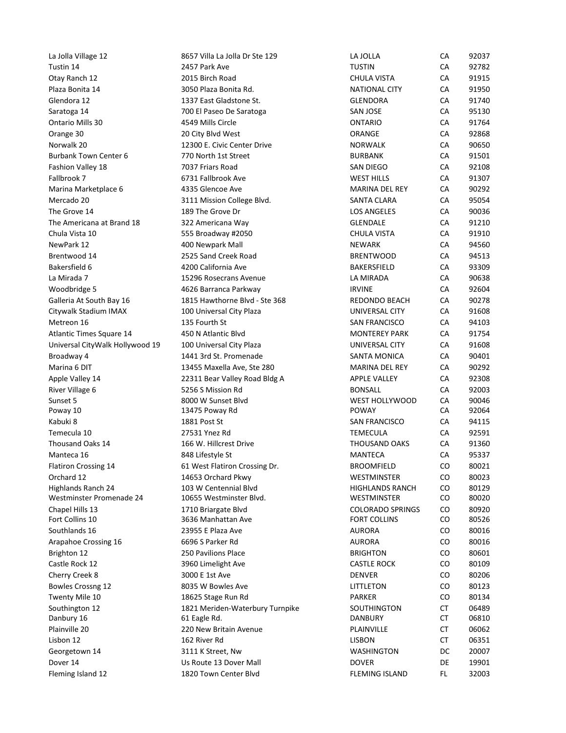| Plaza Bonita 14                 | 3050 Plaza Bonita Rd.           | <b>NATIONAL CITY</b>    | CA  | 91950 |  |
|---------------------------------|---------------------------------|-------------------------|-----|-------|--|
| Glendora 12                     | 1337 East Gladstone St.         | <b>GLENDORA</b>         | CA  | 91740 |  |
| Saratoga 14                     | 700 El Paseo De Saratoga        | SAN JOSE                | CA  | 95130 |  |
| Ontario Mills 30                | 4549 Mills Circle               | <b>ONTARIO</b>          | CA  | 91764 |  |
| Orange 30                       | 20 City Blvd West               | ORANGE                  | CA  | 92868 |  |
| Norwalk 20                      | 12300 E. Civic Center Drive     | <b>NORWALK</b>          | CA  | 90650 |  |
| Burbank Town Center 6           | 770 North 1st Street            | <b>BURBANK</b>          | CA  | 91501 |  |
| Fashion Valley 18               | 7037 Friars Road                | <b>SAN DIEGO</b>        | CA  | 92108 |  |
| Fallbrook 7                     | 6731 Fallbrook Ave              | <b>WEST HILLS</b>       | CA  | 91307 |  |
| Marina Marketplace 6            | 4335 Glencoe Ave                | <b>MARINA DEL REY</b>   | CA  | 90292 |  |
| Mercado 20                      | 3111 Mission College Blvd.      | <b>SANTA CLARA</b>      | CA  | 95054 |  |
| The Grove 14                    | 189 The Grove Dr                | <b>LOS ANGELES</b>      | CA  | 90036 |  |
| The Americana at Brand 18       | 322 Americana Way               | <b>GLENDALE</b>         | CA  | 91210 |  |
| Chula Vista 10                  | 555 Broadway #2050              | <b>CHULA VISTA</b>      | CA  | 91910 |  |
| NewPark 12                      | 400 Newpark Mall                | <b>NEWARK</b>           | CA  | 94560 |  |
| Brentwood 14                    | 2525 Sand Creek Road            | <b>BRENTWOOD</b>        | CA  | 94513 |  |
| Bakersfield 6                   | 4200 California Ave             | BAKERSFIELD             | CA  | 93309 |  |
| La Mirada 7                     | 15296 Rosecrans Avenue          | LA MIRADA               | CA  | 90638 |  |
| Woodbridge 5                    | 4626 Barranca Parkway           | <b>IRVINE</b>           | CA  | 92604 |  |
| Galleria At South Bay 16        | 1815 Hawthorne Blvd - Ste 368   | REDONDO BEACH           | CA  | 90278 |  |
| Citywalk Stadium IMAX           | 100 Universal City Plaza        | UNIVERSAL CITY          | CA  | 91608 |  |
| Metreon 16                      | 135 Fourth St                   | SAN FRANCISCO           | CA  | 94103 |  |
| Atlantic Times Square 14        | 450 N Atlantic Blvd             | <b>MONTEREY PARK</b>    | CA  | 91754 |  |
| Universal CityWalk Hollywood 19 | 100 Universal City Plaza        | UNIVERSAL CITY          | CA  | 91608 |  |
| Broadway 4                      | 1441 3rd St. Promenade          | SANTA MONICA            | CA  | 90401 |  |
| Marina 6 DIT                    | 13455 Maxella Ave, Ste 280      | MARINA DEL REY          | CA  | 90292 |  |
| Apple Valley 14                 | 22311 Bear Valley Road Bldg A   | <b>APPLE VALLEY</b>     | CA  | 92308 |  |
| River Village 6                 | 5256 S Mission Rd               | <b>BONSALL</b>          | CA  | 92003 |  |
| Sunset 5                        | 8000 W Sunset Blvd              | WEST HOLLYWOOD          | CA  | 90046 |  |
| Poway 10                        | 13475 Poway Rd                  | POWAY                   | CA  | 92064 |  |
| Kabuki 8                        | 1881 Post St                    | SAN FRANCISCO           | CA  | 94115 |  |
| Temecula 10                     | 27531 Ynez Rd                   | TEMECULA                | CA  | 92591 |  |
| Thousand Oaks 14                | 166 W. Hillcrest Drive          | <b>THOUSAND OAKS</b>    | CA  | 91360 |  |
| Manteca 16                      | 848 Lifestyle St                | MANTECA                 | CA  | 95337 |  |
| Flatiron Crossing 14            | 61 West Flatiron Crossing Dr.   | <b>BROOMFIELD</b>       | CO  | 80021 |  |
| Orchard 12                      | 14653 Orchard Pkwy              | WESTMINSTER             | CO  | 80023 |  |
| Highlands Ranch 24              | 103 W Centennial Blvd           | <b>HIGHLANDS RANCH</b>  | CO  | 80129 |  |
| Westminster Promenade 24        | 10655 Westminster Blvd.         | WESTMINSTER             | CO  | 80020 |  |
| Chapel Hills 13                 | 1710 Briargate Blvd             | <b>COLORADO SPRINGS</b> | CO  | 80920 |  |
| Fort Collins 10                 | 3636 Manhattan Ave              | <b>FORT COLLINS</b>     | CO  | 80526 |  |
| Southlands 16                   | 23955 E Plaza Ave               | <b>AURORA</b>           | CO  | 80016 |  |
| Arapahoe Crossing 16            | 6696 S Parker Rd                | <b>AURORA</b>           | CO  | 80016 |  |
| Brighton 12                     | 250 Pavilions Place             | <b>BRIGHTON</b>         | CO  | 80601 |  |
| Castle Rock 12                  | 3960 Limelight Ave              | <b>CASTLE ROCK</b>      | CO  | 80109 |  |
| Cherry Creek 8                  | 3000 E 1st Ave                  | <b>DENVER</b>           | CO  | 80206 |  |
| Bowles Crossng 12               | 8035 W Bowles Ave               | LITTLETON               | CO  | 80123 |  |
| Twenty Mile 10                  | 18625 Stage Run Rd              | <b>PARKER</b>           | CO  | 80134 |  |
| Southington 12                  | 1821 Meriden-Waterbury Turnpike | SOUTHINGTON             | CT  | 06489 |  |
| Danbury 16                      | 61 Eagle Rd.                    | <b>DANBURY</b>          | CT  | 06810 |  |
| Plainville 20                   | 220 New Britain Avenue          | PLAINVILLE              | CT  | 06062 |  |
| Lisbon 12                       | 162 River Rd                    | <b>LISBON</b>           | CT  | 06351 |  |
| Georgetown 14                   | 3111 K Street, Nw               | WASHINGTON              | DC  | 20007 |  |
| Dover 14                        | Us Route 13 Dover Mall          | <b>DOVER</b>            | DE  | 19901 |  |
| Fleming Island 12               | 1820 Town Center Blvd           | <b>FLEMING ISLAND</b>   | FL. | 32003 |  |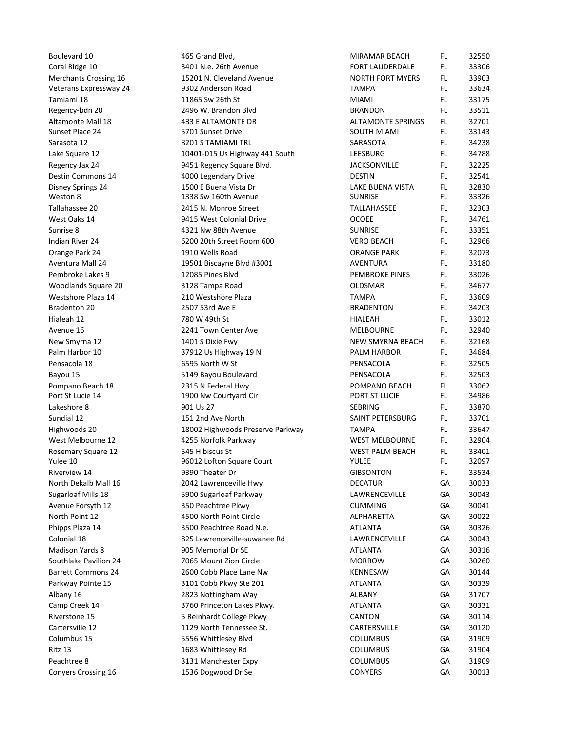| Boulevard 10<br>Coral Ridge 10          | 465 Grand Blvd,<br>3401 N.e. 26th Avenue                 | <b>MIRAMAR BEACH</b><br>FORT LAUDERDALE         | FL.<br>FL. | 32550<br>33306 |
|-----------------------------------------|----------------------------------------------------------|-------------------------------------------------|------------|----------------|
| Merchants Crossing 16                   | 15201 N. Cleveland Avenue                                | <b>NORTH FORT MYERS</b>                         | FL.        | 33903          |
| Veterans Expressway 24                  | 9302 Anderson Road                                       | <b>TAMPA</b>                                    | FL.        | 33634          |
| Tamiami 18                              | 11865 Sw 26th St                                         | <b>MIAMI</b>                                    | FL.        | 33175          |
| Regency-bdn 20                          | 2496 W. Brandon Blvd                                     | <b>BRANDON</b>                                  | FL.        | 33511          |
| Altamonte Mall 18<br>Sunset Place 24    | 433 E ALTAMONTE DR<br>5701 Sunset Drive                  | <b>ALTAMONTE SPRINGS</b><br>SOUTH MIAMI         | FL.<br>FL. | 32701<br>33143 |
| Sarasota 12                             | 8201 S TAMIAMI TRL                                       | SARASOTA                                        | FL.        | 34238          |
| Lake Square 12                          | 10401-015 Us Highway 441 South                           | LEESBURG                                        | FL.        | 34788          |
| Regency Jax 24                          | 9451 Regency Square Blvd.                                | <b>JACKSONVILLE</b>                             | FL.        | 32225          |
| Destin Commons 14                       | 4000 Legendary Drive                                     | <b>DESTIN</b>                                   | FL.        | 32541          |
| Disney Springs 24<br>Weston 8           | 1500 E Buena Vista Dr<br>1338 Sw 160th Avenue            | LAKE BUENA VISTA<br><b>SUNRISE</b>              | FL.<br>FL. | 32830<br>33326 |
| Tallahassee 20                          | 2415 N. Monroe Street                                    | TALLAHASSEE                                     | FL.        | 32303          |
| West Oaks 14                            | 9415 West Colonial Drive                                 | OCOEE                                           | FL.        | 34761          |
| Sunrise 8                               | 4321 Nw 88th Avenue                                      | <b>SUNRISE</b>                                  | FL.        | 33351          |
| Indian River 24                         | 6200 20th Street Room 600                                | <b>VERO BEACH</b>                               | FL.        | 32966          |
| Orange Park 24                          | 1910 Wells Road                                          | <b>ORANGE PARK</b>                              | FL.        | 32073          |
| Aventura Mall 24<br>Pembroke Lakes 9    | 19501 Biscayne Blvd #3001<br>12085 Pines Blvd            | <b>AVENTURA</b><br><b>PEMBROKE PINES</b>        | FL.<br>FL. | 33180<br>33026 |
| Woodlands Square 20                     | 3128 Tampa Road                                          | OLDSMAR                                         | FL.        | 34677          |
| Westshore Plaza 14                      | 210 Westshore Plaza                                      | <b>TAMPA</b>                                    | FL.        | 33609          |
| Bradenton 20                            | 2507 53rd Ave E                                          | <b>BRADENTON</b>                                | FL.        | 34203          |
| Hialeah 12                              | 780 W 49th St                                            | <b>HIALEAH</b>                                  | FL.        | 33012          |
| Avenue 16                               | 2241 Town Center Ave                                     | <b>MELBOURNE</b>                                | FL.        | 32940          |
| New Smyrna 12                           | 1401 S Dixie Fwy                                         | NEW SMYRNA BEACH                                | FL.        | 32168          |
| Palm Harbor 10<br>Pensacola 18          | 37912 Us Highway 19 N<br>6595 North W St                 | PALM HARBOR<br>PENSACOLA                        | FL.<br>FL. | 34684<br>32505 |
| Bayou 15                                | 5149 Bayou Boulevard                                     | PENSACOLA                                       | FL.        | 32503          |
| Pompano Beach 18                        | 2315 N Federal Hwy                                       | POMPANO BEACH                                   | FL.        | 33062          |
| Port St Lucie 14                        | 1900 Nw Courtyard Cir                                    | PORT ST LUCIE                                   | FL.        | 34986          |
| Lakeshore 8                             | 901 Us 27                                                | SEBRING                                         | FL.        | 33870          |
| Sundial 12                              | 151 2nd Ave North                                        | SAINT PETERSBURG                                | <b>FL</b>  | 33701          |
| Highwoods 20                            | 18002 Highwoods Preserve Parkway                         | TAMPA                                           | FL.        | 33647          |
| West Melbourne 12<br>Rosemary Square 12 | 4255 Norfolk Parkway<br>545 Hibiscus St                  | <b>WEST MELBOURNE</b><br><b>WEST PALM BEACH</b> | FL.<br>FL. | 32904<br>33401 |
| Yulee 10                                | 96012 Lofton Square Court                                | YULEE                                           | <b>FL</b>  | 32097          |
| Riverview 14                            | 9390 Theater Dr                                          | <b>GIBSONTON</b>                                | FL.        | 33534          |
| North Dekalb Mall 16                    | 2042 Lawrenceville Hwy                                   | <b>DECATUR</b>                                  | GA         | 30033          |
| Sugarloaf Mills 18                      | 5900 Sugarloaf Parkway                                   | LAWRENCEVILLE                                   | GA         | 30043          |
| Avenue Forsyth 12                       | 350 Peachtree Pkwy                                       | <b>CUMMING</b>                                  | GA         | 30041          |
| North Point 12                          | 4500 North Point Circle                                  | ALPHARETTA                                      | GA         | 30022          |
| Phipps Plaza 14<br>Colonial 18          | 3500 Peachtree Road N.e.<br>825 Lawrenceville-suwanee Rd | <b>ATLANTA</b><br>LAWRENCEVILLE                 | GA<br>GA   | 30326<br>30043 |
| <b>Madison Yards 8</b>                  | 905 Memorial Dr SE                                       | <b>ATLANTA</b>                                  | GA         | 30316          |
| Southlake Pavilion 24                   | 7065 Mount Zion Circle                                   | <b>MORROW</b>                                   | GA         | 30260          |
| <b>Barrett Commons 24</b>               | 2600 Cobb Place Lane Nw                                  | <b>KENNESAW</b>                                 | GA         | 30144          |
| Parkway Pointe 15                       | 3101 Cobb Pkwy Ste 201                                   | <b>ATLANTA</b>                                  | GA         | 30339          |
| Albany 16                               | 2823 Nottingham Way                                      | <b>ALBANY</b>                                   | GA         | 31707          |
| Camp Creek 14                           | 3760 Princeton Lakes Pkwy.                               | <b>ATLANTA</b>                                  | GA         | 30331          |
| Riverstone 15<br>Cartersville 12        | 5 Reinhardt College Pkwy<br>1129 North Tennessee St.     | CANTON<br>CARTERSVILLE                          | GA         | 30114<br>30120 |
| Columbus 15                             | 5556 Whittlesey Blvd                                     | <b>COLUMBUS</b>                                 | GA<br>GA   | 31909          |
| Ritz 13                                 | 1683 Whittlesey Rd                                       | <b>COLUMBUS</b>                                 | GA         | 31904          |
| Peachtree 8                             | 3131 Manchester Expy                                     | <b>COLUMBUS</b>                                 | GA         | 31909          |
| Conyers Crossing 16                     | 1536 Dogwood Dr Se                                       | <b>CONYERS</b>                                  | GA         | 30013          |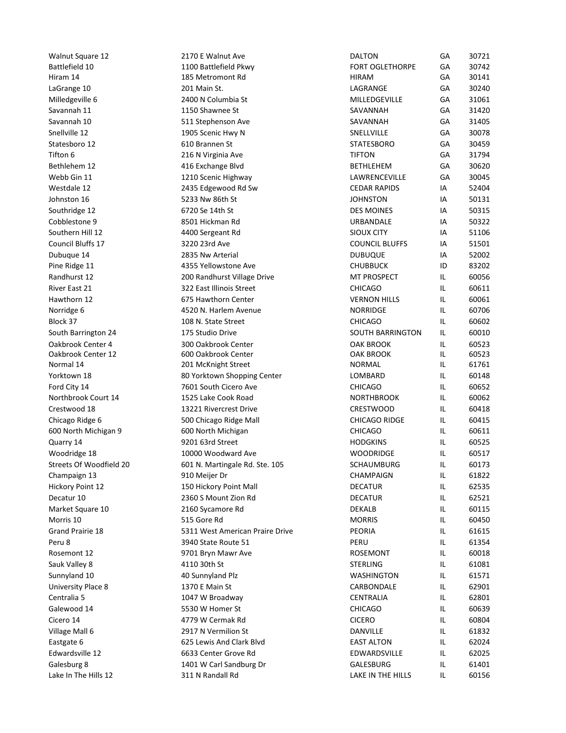| <b>Walnut Square 12</b>                   | 2170 E Walnut Ave                                | <b>DALTON</b>                          | GA         | 30721          |
|-------------------------------------------|--------------------------------------------------|----------------------------------------|------------|----------------|
| Battlefield 10                            | 1100 Battlefield Pkwy                            | <b>FORT OGLETHORPE</b>                 | GA         | 30742          |
| Hiram 14                                  | 185 Metromont Rd                                 | <b>HIRAM</b>                           | GA         | 30141          |
| LaGrange 10<br>Milledgeville 6            | 201 Main St.<br>2400 N Columbia St               | LAGRANGE<br>MILLEDGEVILLE              | GA<br>GA   | 30240<br>31061 |
| Savannah 11                               | 1150 Shawnee St                                  | SAVANNAH                               | GA         | 31420          |
| Savannah 10                               | 511 Stephenson Ave                               | SAVANNAH                               | GA         | 31405          |
| Snellville 12                             | 1905 Scenic Hwy N                                | SNELLVILLE                             | GA         | 30078          |
| Statesboro 12<br>Tifton 6                 | 610 Brannen St<br>216 N Virginia Ave             | <b>STATESBORO</b><br><b>TIFTON</b>     | GA<br>GA   | 30459<br>31794 |
| Bethlehem 12                              | 416 Exchange Blvd                                | <b>BETHLEHEM</b>                       | GA         | 30620          |
| Webb Gin 11                               | 1210 Scenic Highway                              | LAWRENCEVILLE                          | GA         | 30045          |
| Westdale 12                               | 2435 Edgewood Rd Sw<br>5233 Nw 86th St           | <b>CEDAR RAPIDS</b><br><b>JOHNSTON</b> | IA<br>IA   | 52404<br>50131 |
| Johnston 16<br>Southridge 12              | 6720 Se 14th St                                  | <b>DES MOINES</b>                      | IA         | 50315          |
| Cobblestone 9                             | 8501 Hickman Rd                                  | URBANDALE                              | IA         | 50322          |
| Southern Hill 12                          | 4400 Sergeant Rd                                 | <b>SIOUX CITY</b>                      | IA         | 51106          |
| Council Bluffs 17                         | 3220 23rd Ave                                    | <b>COUNCIL BLUFFS</b>                  | IA         | 51501          |
| Dubuque 14<br>Pine Ridge 11               | 2835 Nw Arterial<br>4355 Yellowstone Ave         | <b>DUBUQUE</b><br><b>CHUBBUCK</b>      | IA<br>ID   | 52002<br>83202 |
| Randhurst 12                              | 200 Randhurst Village Drive                      | MT PROSPECT                            | IL.        | 60056          |
| River East 21                             | 322 East Illinois Street                         | <b>CHICAGO</b>                         | IL.        | 60611          |
| Hawthorn 12<br>Norridge 6                 | 675 Hawthorn Center<br>4520 N. Harlem Avenue     | <b>VERNON HILLS</b><br><b>NORRIDGE</b> | IL.<br>IL. | 60061<br>60706 |
| Block 37                                  | 108 N. State Street                              | <b>CHICAGO</b>                         | IL.        | 60602          |
| South Barrington 24                       | 175 Studio Drive                                 | <b>SOUTH BARRINGTON</b>                | IL.        | 60010          |
| Oakbrook Center 4                         | 300 Oakbrook Center                              | <b>OAK BROOK</b>                       | Щ.         | 60523          |
| Oakbrook Center 12<br>Normal 14           | 600 Oakbrook Center<br>201 McKnight Street       | <b>OAK BROOK</b><br><b>NORMAL</b>      | IL.<br>IL. | 60523<br>61761 |
| Yorktown 18                               | 80 Yorktown Shopping Center                      | LOMBARD                                | IL.        | 60148          |
| Ford City 14                              | 7601 South Cicero Ave                            | <b>CHICAGO</b>                         | IL.        | 60652          |
| Northbrook Court 14                       | 1525 Lake Cook Road                              | <b>NORTHBROOK</b>                      | IL.        | 60062          |
| Crestwood 18<br>Chicago Ridge 6           | 13221 Rivercrest Drive<br>500 Chicago Ridge Mall | CRESTWOOD<br>CHICAGO RIDGE             | IL.<br>IL. | 60418<br>60415 |
| 600 North Michigan 9                      | 600 North Michigan                               | <b>CHICAGO</b>                         | IL.        | 60611          |
| Quarry 14                                 | 9201 63rd Street                                 | <b>HODGKINS</b>                        | IL.        | 60525          |
| Woodridge 18                              | 10000 Woodward Ave                               | WOODRIDGE                              | IL.        | 60517          |
| Streets Of Woodfield 20<br>Champaign 13   | 601 N. Martingale Rd. Ste. 105<br>910 Meijer Dr  | SCHAUMBURG<br>CHAMPAIGN                | IL.<br>IL. | 60173<br>61822 |
| Hickory Point 12                          | 150 Hickory Point Mall                           | <b>DECATUR</b>                         | IL.        | 62535          |
| Decatur 10                                | 2360 S Mount Zion Rd                             | <b>DECATUR</b>                         | IL.        | 62521          |
| Market Square 10                          | 2160 Sycamore Rd                                 | DEKALB                                 | IL.        | 60115          |
| Morris 10<br>Grand Prairie 18             | 515 Gore Rd<br>5311 West American Praire Drive   | <b>MORRIS</b><br>PEORIA                | IL.<br>IL. | 60450<br>61615 |
| Peru 8                                    | 3940 State Route 51                              | PERU                                   | IL.        | 61354          |
| Rosemont 12                               | 9701 Bryn Mawr Ave                               | <b>ROSEMONT</b>                        | IL.        | 60018          |
| Sauk Valley 8                             | 4110 30th St                                     | <b>STERLING</b>                        | IL.        | 61081          |
| Sunnyland 10<br><b>University Place 8</b> | 40 Sunnyland Plz<br>1370 E Main St               | <b>WASHINGTON</b><br>CARBONDALE        | IL.<br>IL. | 61571<br>62901 |
| Centralia 5                               | 1047 W Broadway                                  | CENTRALIA                              | IL.        | 62801          |
| Galewood 14                               | 5530 W Homer St                                  | <b>CHICAGO</b>                         | IL.        | 60639          |
| Cicero 14                                 | 4779 W Cermak Rd                                 | <b>CICERO</b>                          | IL.        | 60804          |
| Village Mall 6                            | 2917 N Vermilion St                              | DANVILLE                               | IL.        | 61832          |
| Eastgate 6<br>Edwardsville 12             | 625 Lewis And Clark Blvd<br>6633 Center Grove Rd | <b>EAST ALTON</b><br>EDWARDSVILLE      | IL.<br>IL. | 62024<br>62025 |
| Galesburg 8                               | 1401 W Carl Sandburg Dr                          | GALESBURG                              | IL.        | 61401          |
| Lake In The Hills 12                      | 311 N Randall Rd                                 | LAKE IN THE HILLS                      |            |                |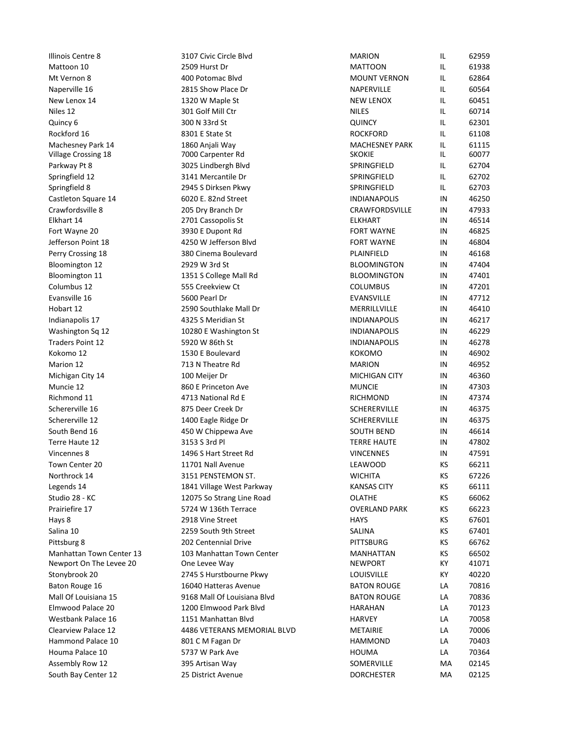| Illinois Centre 8                    | 3107 Civic Circle Blvd                           | <b>MARION</b><br><b>MATTOON</b>            | IL.        | 62959          |
|--------------------------------------|--------------------------------------------------|--------------------------------------------|------------|----------------|
| Mattoon 10<br>Mt Vernon 8            | 2509 Hurst Dr<br>400 Potomac Blvd                | <b>MOUNT VERNON</b>                        | IL.<br>IL. | 61938<br>62864 |
| Naperville 16                        | 2815 Show Place Dr                               | NAPERVILLE                                 | IL.        | 60564          |
| New Lenox 14                         | 1320 W Maple St                                  | <b>NEW LENOX</b>                           | IL.        | 60451          |
| Niles 12                             | 301 Golf Mill Ctr                                | <b>NILES</b>                               | IL.        | 60714          |
| Quincy 6<br>Rockford 16              | 300 N 33rd St<br>8301 E State St                 | <b>QUINCY</b><br><b>ROCKFORD</b>           | IL.<br>IL. | 62301<br>61108 |
| Machesney Park 14                    | 1860 Anjali Way                                  | <b>MACHESNEY PARK</b>                      | IL.        | 61115          |
| Village Crossing 18                  | 7000 Carpenter Rd                                | <b>SKOKIE</b>                              | IL.        | 60077          |
| Parkway Pt 8                         | 3025 Lindbergh Blvd<br>3141 Mercantile Dr        | SPRINGFIELD<br>SPRINGFIELD                 | IL.<br>IL. | 62704<br>62702 |
| Springfield 12<br>Springfield 8      | 2945 S Dirksen Pkwy                              | SPRINGFIELD                                | IL.        | 62703          |
| Castleton Square 14                  | 6020 E. 82nd Street                              | <b>INDIANAPOLIS</b>                        | IN         | 46250          |
| Crawfordsville 8                     | 205 Dry Branch Dr                                | CRAWFORDSVILLE                             | IN         | 47933          |
| Elkhart 14<br>Fort Wayne 20          | 2701 Cassopolis St<br>3930 E Dupont Rd           | <b>ELKHART</b><br><b>FORT WAYNE</b>        | IN<br>IN   | 46514<br>46825 |
| Jefferson Point 18                   | 4250 W Jefferson Blvd                            | <b>FORT WAYNE</b>                          | IN         | 46804          |
| Perry Crossing 18                    | 380 Cinema Boulevard                             | PLAINFIELD                                 | IN         | 46168          |
| Bloomington 12                       | 2929 W 3rd St                                    | <b>BLOOMINGTON</b>                         | IN         | 47404          |
| Bloomington 11<br>Columbus 12        | 1351 S College Mall Rd<br>555 Creekview Ct       | <b>BLOOMINGTON</b><br><b>COLUMBUS</b>      | IN<br>IN   | 47401<br>47201 |
| Evansville 16                        | 5600 Pearl Dr                                    | <b>EVANSVILLE</b>                          | IN         | 47712          |
| Hobart 12                            | 2590 Southlake Mall Dr                           | MERRILLVILLE                               | IN         | 46410          |
| Indianapolis 17                      | 4325 S Meridian St                               | <b>INDIANAPOLIS</b>                        | IN         | 46217          |
| Washington Sq 12<br>Traders Point 12 | 10280 E Washington St<br>5920 W 86th St          | <b>INDIANAPOLIS</b><br><b>INDIANAPOLIS</b> | IN<br>IN   | 46229<br>46278 |
| Kokomo 12                            | 1530 E Boulevard                                 | КОКОМО                                     | IN         | 46902          |
| Marion 12                            | 713 N Theatre Rd                                 | <b>MARION</b>                              | IN         | 46952          |
| Michigan City 14                     | 100 Meijer Dr                                    | MICHIGAN CITY                              | IN         | 46360          |
| Muncie 12                            | 860 E Princeton Ave                              | <b>MUNCIE</b>                              | IN         | 47303          |
| Richmond 11<br>Schererville 16       | 4713 National Rd E<br>875 Deer Creek Dr          | RICHMOND<br>SCHERERVILLE                   | IN<br>IN   | 47374<br>46375 |
| Schererville 12                      | 1400 Eagle Ridge Dr                              | SCHERERVILLE                               | IN         | 46375          |
| South Bend 16                        | 450 W Chippewa Ave                               | <b>SOUTH BEND</b>                          | IN         | 46614          |
| Terre Haute 12                       | 3153 S 3rd Pl                                    | <b>TERRE HAUTE</b>                         | IN         | 47802          |
| Vincennes 8                          | 1496 S Hart Street Rd                            | <b>VINCENNES</b>                           | IN         | 47591          |
| Town Center 20<br>Northrock 14       | 11701 Nall Avenue<br>3151 PENSTEMON ST.          | LEAWOOD<br><b>WICHITA</b>                  | KS<br>KS   | 66211<br>67226 |
| Legends 14                           | 1841 Village West Parkway                        | <b>KANSAS CITY</b>                         | KS         | 66111          |
| Studio 28 - KC                       | 12075 So Strang Line Road                        | OLATHE                                     | КS         | 66062          |
| Prairiefire 17                       | 5724 W 136th Terrace                             | <b>OVERLAND PARK</b>                       | KS         | 66223          |
| Hays 8<br>Salina 10                  | 2918 Vine Street<br>2259 South 9th Street        | <b>HAYS</b><br>SALINA                      | КS<br>KS   | 67601<br>67401 |
| Pittsburg 8                          | 202 Centennial Drive                             | <b>PITTSBURG</b>                           | KS         | 66762          |
| Manhattan Town Center 13             | 103 Manhattan Town Center                        | MANHATTAN                                  | KS         | 66502          |
| Newport On The Levee 20              | One Levee Way                                    | <b>NEWPORT</b>                             | КY         | 41071          |
| Stonybrook 20<br>Baton Rouge 16      | 2745 S Hurstbourne Pkwy<br>16040 Hatteras Avenue | LOUISVILLE<br><b>BATON ROUGE</b>           | КY<br>LA   | 40220<br>70816 |
| Mall Of Louisiana 15                 | 9168 Mall Of Louisiana Blvd                      | <b>BATON ROUGE</b>                         | LA         | 70836          |
| Elmwood Palace 20                    | 1200 Elmwood Park Blvd                           | <b>HARAHAN</b>                             | LA         | 70123          |
| Westbank Palace 16                   | 1151 Manhattan Blvd                              | <b>HARVEY</b>                              | LA         | 70058          |
| Clearview Palace 12                  | 4486 VETERANS MEMORIAL BLVD                      | <b>METAIRIE</b>                            | LA         | 70006          |
| Hammond Palace 10<br>Houma Palace 10 | 801 CM Fagan Dr<br>5737 W Park Ave               | <b>HAMMOND</b><br>HOUMA                    | LA<br>LA   | 70403<br>70364 |
| Assembly Row 12                      | 395 Artisan Way                                  | SOMERVILLE                                 | MA         | 02145          |
| South Bay Center 12                  | 25 District Avenue                               | <b>DORCHESTER</b>                          |            |                |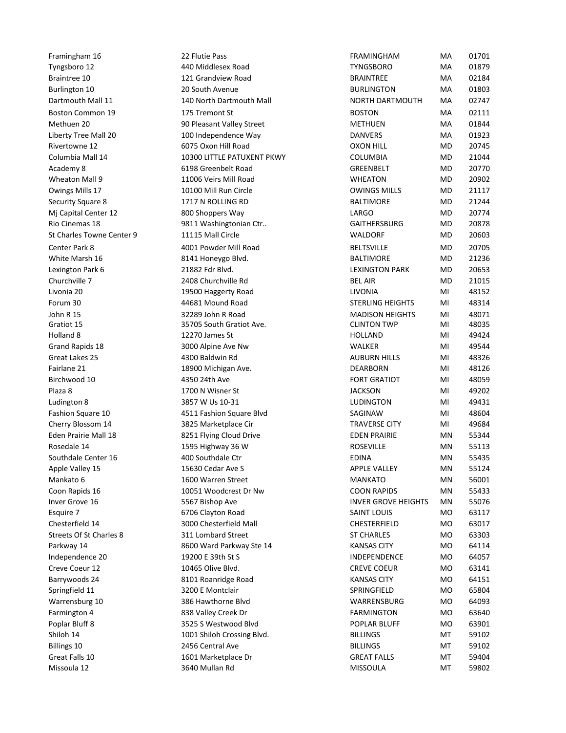|                                            | 22 Flutie Pass                                     | <b>FRAMINGHAM</b>                                 |            |                |  |
|--------------------------------------------|----------------------------------------------------|---------------------------------------------------|------------|----------------|--|
| Framingham 16<br>Tyngsboro 12              | 440 Middlesex Road                                 | <b>TYNGSBORO</b>                                  | MA<br>MA   | 01701<br>01879 |  |
| Braintree 10                               | 121 Grandview Road                                 | <b>BRAINTREE</b>                                  | MA         | 02184          |  |
| Burlington 10                              | 20 South Avenue                                    | <b>BURLINGTON</b>                                 | MA         | 01803          |  |
| Dartmouth Mall 11                          | 140 North Dartmouth Mall                           | NORTH DARTMOUTH                                   | MA         | 02747          |  |
| Boston Common 19<br>Methuen 20             | 175 Tremont St<br>90 Pleasant Valley Street        | <b>BOSTON</b><br><b>METHUEN</b>                   | MA<br>MA   | 02111<br>01844 |  |
| Liberty Tree Mall 20                       | 100 Independence Way                               | <b>DANVERS</b>                                    | MA         | 01923          |  |
| Rivertowne 12                              | 6075 Oxon Hill Road                                | <b>OXON HILL</b>                                  | MD         | 20745          |  |
| Columbia Mall 14                           | 10300 LITTLE PATUXENT PKWY                         | <b>COLUMBIA</b>                                   | MD         | 21044          |  |
| Academy 8                                  | 6198 Greenbelt Road                                | GREENBELT                                         | MD         | 20770          |  |
| Wheaton Mall 9<br>Owings Mills 17          | 11006 Veirs Mill Road<br>10100 Mill Run Circle     | <b>WHEATON</b><br><b>OWINGS MILLS</b>             | MD<br>MD   | 20902<br>21117 |  |
| Security Square 8                          | 1717 N ROLLING RD                                  | <b>BALTIMORE</b>                                  | MD         | 21244          |  |
| Mj Capital Center 12                       | 800 Shoppers Way                                   | LARGO                                             | MD         | 20774          |  |
| Rio Cinemas 18                             | 9811 Washingtonian Ctr                             | <b>GAITHERSBURG</b>                               | MD         | 20878          |  |
| St Charles Towne Center 9<br>Center Park 8 | 11115 Mall Circle<br>4001 Powder Mill Road         | WALDORF<br><b>BELTSVILLE</b>                      | MD<br>MD   | 20603<br>20705 |  |
| White Marsh 16                             | 8141 Honeygo Blvd.                                 | <b>BALTIMORE</b>                                  | MD         | 21236          |  |
| Lexington Park 6                           | 21882 Fdr Blvd.                                    | <b>LEXINGTON PARK</b>                             | MD         | 20653          |  |
| Churchville 7                              | 2408 Churchville Rd                                | <b>BEL AIR</b>                                    | MD         | 21015          |  |
| Livonia 20                                 | 19500 Haggerty Road                                | LIVONIA                                           | MI         | 48152          |  |
| Forum 30<br>John R 15                      | 44681 Mound Road<br>32289 John R Road              | <b>STERLING HEIGHTS</b><br><b>MADISON HEIGHTS</b> | MI<br>MI   | 48314<br>48071 |  |
| Gratiot 15                                 | 35705 South Gratiot Ave.                           | <b>CLINTON TWP</b>                                | MI         | 48035          |  |
| Holland 8                                  | 12270 James St                                     | <b>HOLLAND</b>                                    | MI         | 49424          |  |
| Grand Rapids 18                            | 3000 Alpine Ave Nw                                 | WALKER                                            | MI         | 49544          |  |
| Great Lakes 25<br>Fairlane 21              | 4300 Baldwin Rd<br>18900 Michigan Ave.             | <b>AUBURN HILLS</b><br><b>DEARBORN</b>            | MI<br>MI   | 48326<br>48126 |  |
| Birchwood 10                               | 4350 24th Ave                                      | <b>FORT GRATIOT</b>                               | MI         | 48059          |  |
| Plaza 8                                    | 1700 N Wisner St                                   | <b>JACKSON</b>                                    | MI         | 49202          |  |
| Ludington 8                                | 3857 W Us 10-31                                    | <b>LUDINGTON</b>                                  | MI         | 49431          |  |
| Fashion Square 10                          | 4511 Fashion Square Blvd                           | SAGINAW                                           | MI         | 48604          |  |
| Cherry Blossom 14<br>Eden Prairie Mall 18  | 3825 Marketplace Cir<br>8251 Flying Cloud Drive    | <b>TRAVERSE CITY</b><br><b>EDEN PRAIRIE</b>       | MI<br>MN   | 49684<br>55344 |  |
| Rosedale 14                                | 1595 Highway 36 W                                  | ROSEVILLE                                         | MN         | 55113          |  |
| Southdale Center 16                        | 400 Southdale Ctr                                  | <b>EDINA</b>                                      | MN         | 55435          |  |
| Apple Valley 15                            | 15630 Cedar Ave S                                  | <b>APPLE VALLEY</b>                               | MN         | 55124          |  |
| Mankato 6                                  | 1600 Warren Street                                 | <b>MANKATO</b>                                    | MN         | 56001          |  |
| Coon Rapids 16<br>Inver Grove 16           | 10051 Woodcrest Dr Nw<br>5567 Bishop Ave           | <b>COON RAPIDS</b><br><b>INVER GROVE HEIGHTS</b>  | MN<br>MN   | 55433<br>55076 |  |
| Esquire 7                                  | 6706 Clayton Road                                  | <b>SAINT LOUIS</b>                                | MO.        | 63117          |  |
| Chesterfield 14                            | 3000 Chesterfield Mall                             | CHESTERFIELD                                      | MO.        | 63017          |  |
| Streets Of St Charles 8                    | 311 Lombard Street                                 | <b>ST CHARLES</b>                                 | MO.        | 63303          |  |
| Parkway 14                                 | 8600 Ward Parkway Ste 14                           | <b>KANSAS CITY</b>                                | MO.        | 64114          |  |
| Independence 20<br>Creve Coeur 12          | 19200 E 39th St S<br>10465 Olive Blvd.             | INDEPENDENCE<br><b>CREVE COEUR</b>                | MO.<br>MO. | 64057<br>63141 |  |
| Barrywoods 24                              | 8101 Roanridge Road                                | <b>KANSAS CITY</b>                                | MO.        | 64151          |  |
| Springfield 11                             | 3200 E Montclair                                   | SPRINGFIELD                                       | MO.        | 65804          |  |
| Warrensburg 10                             | 386 Hawthorne Blvd                                 | WARRENSBURG                                       | MO.        | 64093          |  |
| Farmington 4                               | 838 Valley Creek Dr                                | <b>FARMINGTON</b>                                 | MO.        | 63640          |  |
| Poplar Bluff 8<br>Shiloh 14                | 3525 S Westwood Blvd<br>1001 Shiloh Crossing Blvd. | POPLAR BLUFF<br><b>BILLINGS</b>                   | MO.<br>MT  | 63901<br>59102 |  |
| <b>Billings 10</b>                         | 2456 Central Ave                                   | <b>BILLINGS</b>                                   | МT         | 59102          |  |
| Great Falls 10                             | 1601 Marketplace Dr                                | <b>GREAT FALLS</b>                                | MT         | 59404<br>59802 |  |
| Missoula 12                                | 3640 Mullan Rd                                     | MISSOULA                                          | MT         |                |  |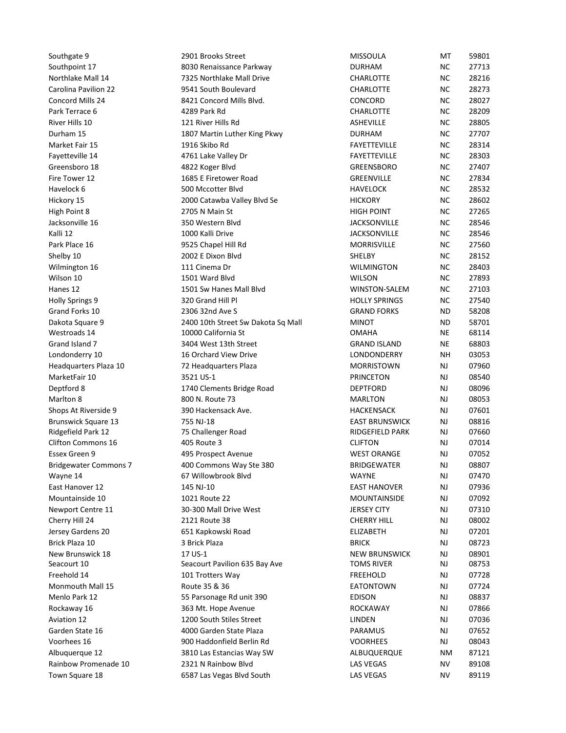| Southgate 9                               | 2901 Brooks Street                                    | <b>MISSOULA</b>                            | МT                     | 59801          |  |
|-------------------------------------------|-------------------------------------------------------|--------------------------------------------|------------------------|----------------|--|
| Southpoint 17<br>Northlake Mall 14        | 8030 Renaissance Parkway<br>7325 Northlake Mall Drive | <b>DURHAM</b><br>CHARLOTTE                 | ΝC<br>NC.              | 27713<br>28216 |  |
| Carolina Pavilion 22                      | 9541 South Boulevard                                  | <b>CHARLOTTE</b>                           | NC.                    | 28273          |  |
| Concord Mills 24                          | 8421 Concord Mills Blvd.                              | CONCORD                                    | NC.                    | 28027          |  |
| Park Terrace 6                            | 4289 Park Rd                                          | CHARLOTTE                                  | NC.                    | 28209          |  |
| River Hills 10                            | 121 River Hills Rd                                    | ASHEVILLE<br><b>DURHAM</b>                 | NC.<br>NC.             | 28805<br>27707 |  |
| Durham 15<br>Market Fair 15               | 1807 Martin Luther King Pkwy<br>1916 Skibo Rd         | FAYETTEVILLE                               | NC.                    | 28314          |  |
| Fayetteville 14                           | 4761 Lake Valley Dr                                   | <b>FAYETTEVILLE</b>                        | NC.                    | 28303          |  |
| Greensboro 18                             | 4822 Koger Blvd                                       | GREENSBORO                                 | NC.                    | 27407          |  |
| Fire Tower 12                             | 1685 E Firetower Road                                 | GREENVILLE                                 | ΝC                     | 27834          |  |
| Havelock 6<br>Hickory 15                  | 500 Mccotter Blvd<br>2000 Catawba Valley Blvd Se      | <b>HAVELOCK</b><br><b>HICKORY</b>          | NC.<br>NC.             | 28532<br>28602 |  |
| High Point 8                              | 2705 N Main St                                        | <b>HIGH POINT</b>                          | ΝC                     | 27265          |  |
| Jacksonville 16                           | 350 Western Blvd                                      | JACKSONVILLE                               | NC.                    | 28546          |  |
| Kalli 12<br>Park Place 16                 | 1000 Kalli Drive                                      | <b>JACKSONVILLE</b><br><b>MORRISVILLE</b>  | NC.                    | 28546          |  |
| Shelby 10                                 | 9525 Chapel Hill Rd<br>2002 E Dixon Blvd              | SHELBY                                     | <b>NC</b><br><b>NC</b> | 27560<br>28152 |  |
| Wilmington 16                             | 111 Cinema Dr                                         | <b>WILMINGTON</b>                          | <b>NC</b>              | 28403          |  |
| Wilson 10                                 | 1501 Ward Blvd                                        | <b>WILSON</b>                              | <b>NC</b>              | 27893          |  |
| Hanes 12                                  | 1501 Sw Hanes Mall Blvd                               | WINSTON-SALEM                              | <b>NC</b>              | 27103          |  |
| Holly Springs 9<br>Grand Forks 10         | 320 Grand Hill Pl<br>2306 32nd Ave S                  | <b>HOLLY SPRINGS</b><br><b>GRAND FORKS</b> | <b>NC</b><br><b>ND</b> | 27540<br>58208 |  |
| Dakota Square 9                           | 2400 10th Street Sw Dakota Sq Mall                    | <b>MINOT</b>                               | <b>ND</b>              | 58701          |  |
| Westroads 14                              | 10000 California St                                   | <b>OMAHA</b>                               | <b>NE</b>              | 68114          |  |
| Grand Island 7                            | 3404 West 13th Street                                 | <b>GRAND ISLAND</b>                        | NE                     | 68803          |  |
| Londonderry 10<br>Headquarters Plaza 10   | 16 Orchard View Drive<br>72 Headquarters Plaza        | LONDONDERRY<br><b>MORRISTOWN</b>           | <b>NH</b><br>NJ        | 03053<br>07960 |  |
| MarketFair 10                             | 3521 US-1                                             | <b>PRINCETON</b>                           | NJ                     | 08540          |  |
| Deptford 8                                | 1740 Clements Bridge Road                             | <b>DEPTFORD</b>                            | NJ                     | 08096          |  |
| Marlton 8                                 | 800 N. Route 73                                       | <b>MARLTON</b>                             | NJ                     | 08053          |  |
| Shops At Riverside 9                      | 390 Hackensack Ave.<br>755 NJ-18                      | HACKENSACK                                 | NJ                     | 07601<br>08816 |  |
| Brunswick Square 13<br>Ridgefield Park 12 | 75 Challenger Road                                    | <b>EAST BRUNSWICK</b><br>RIDGEFIELD PARK   | NJ<br>NJ               | 07660          |  |
| Clifton Commons 16                        | 405 Route 3                                           | <b>CLIFTON</b>                             | NJ                     | 07014          |  |
| Essex Green 9                             | 495 Prospect Avenue                                   | <b>WEST ORANGE</b>                         | NJ                     | 07052          |  |
| <b>Bridgewater Commons 7</b>              | 400 Commons Way Ste 380                               | <b>BRIDGEWATER</b>                         | NJ                     | 08807          |  |
| Wayne 14<br>East Hanover 12               | 67 Willowbrook Blvd<br>145 NJ-10                      | <b>WAYNE</b><br><b>EAST HANOVER</b>        | NJ<br>NJ               | 07470<br>07936 |  |
| Mountainside 10                           | 1021 Route 22                                         | MOUNTAINSIDE                               | NJ                     | 07092          |  |
| Newport Centre 11                         | 30-300 Mall Drive West                                | <b>JERSEY CITY</b>                         | NJ                     | 07310          |  |
| Cherry Hill 24                            | 2121 Route 38                                         | <b>CHERRY HILL</b>                         | NJ                     | 08002          |  |
| Jersey Gardens 20<br>Brick Plaza 10       | 651 Kapkowski Road<br>3 Brick Plaza                   | <b>ELIZABETH</b><br><b>BRICK</b>           | NJ<br>NJ               | 07201<br>08723 |  |
| New Brunswick 18                          | 17 US-1                                               | <b>NEW BRUNSWICK</b>                       | NJ                     | 08901          |  |
| Seacourt 10                               | Seacourt Pavilion 635 Bay Ave                         | <b>TOMS RIVER</b>                          | NJ                     | 08753          |  |
| Freehold 14                               | 101 Trotters Way                                      | <b>FREEHOLD</b>                            | NJ                     | 07728          |  |
| Monmouth Mall 15<br>Menlo Park 12         | Route 35 & 36<br>55 Parsonage Rd unit 390             | EATONTOWN<br><b>EDISON</b>                 | NJ<br><b>NJ</b>        | 07724<br>08837 |  |
| Rockaway 16                               | 363 Mt. Hope Avenue                                   | ROCKAWAY                                   | NJ                     | 07866          |  |
| <b>Aviation 12</b>                        | 1200 South Stiles Street                              | LINDEN                                     | <b>NJ</b>              | 07036          |  |
| Garden State 16                           | 4000 Garden State Plaza                               | PARAMUS                                    | NJ                     | 07652          |  |
| Voorhees 16                               | 900 Haddonfield Berlin Rd                             | <b>VOORHEES</b>                            | NJ                     | 08043          |  |
| Albuquerque 12<br>Rainbow Promenade 10    | 3810 Las Estancias Way SW<br>2321 N Rainbow Blvd      | ALBUQUERQUE<br><b>LAS VEGAS</b>            | NM<br>ΝV               | 87121<br>89108 |  |
|                                           | 6587 Las Vegas Blvd South                             |                                            |                        |                |  |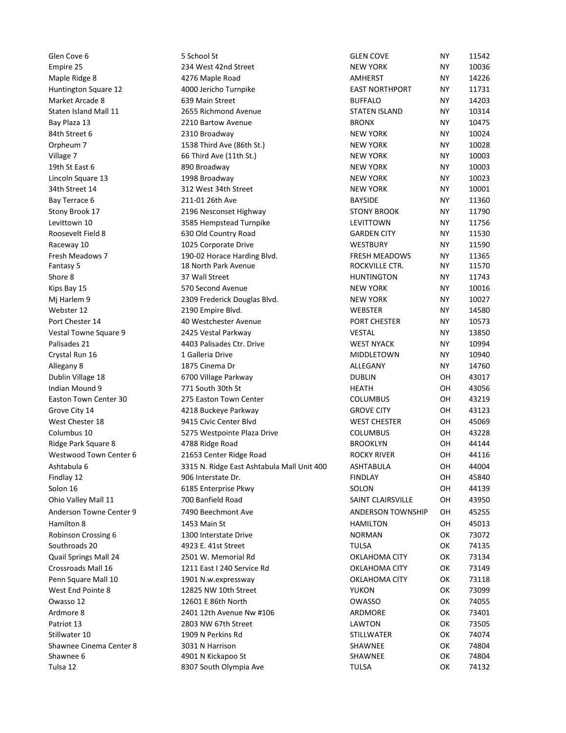Glen Cove 6<br>
Sochool St<br>
Empire 25 234 West 42nd Street<br>
Maple Ridge 8 4276 Maple Road<br>
Huntington Square 12 4000 Jericho Turnpike<br>
Market Arcade 8 639 Main Street<br>
Bay Plaza 13 2210 Bartow Avenue<br>
Bay Plaza 13<br>
State Bure Empire 25<br>
Empire 25 234 West 42nd Street School St<br>
Empire 25 234 West 42nd Street NEW YORK NY 11542<br>
Huntington Square 12 4000 Jericho Turnpike EAST NORTHPORT NY 14226<br>
Huntington Square 12 4000 Jericho Turnpike EAST NOR Glen Cove 6 5<br>
Empire 25 234 West 42nd Street<br>
Maple Ridge 8 4276 Maple Road<br>
Maple Ridge 8 4276 Maple Road<br>
Mamtington Square 12 4000 Jericho Tumpike<br>
Market Arcade 8 4000 Jericho Tumpike<br>
Market Arcade 8 539 Main Street<br> Glen Cove 6 5<br>
Empire 25 234 West 42nd Street<br>
Maple Ridge 8 4276 Maple Road<br>
Huntington Square 12 4000 Jericho Turnpike<br>
Staten Island Mall 11 2655 Richmond Avenue<br>
Staten Island Mall 11 2655 Richmond Avenue<br>
Bay Plaza 13 Glen Cove 6 5 School St<br>
Empire 25 234 West 42nd Street NEW YORK NY 10036<br>
Maple Ridge 8 4256 Maple Rodd<br>
Muntington Square 12 4000 Jericho Turnpike<br>
Market Arcade 8 639 Main Street BUFFALO NY 14226<br>
Staten Island Mall 11 Glen Cove 6 5<br>
School St School St School St School St School St<br>
Maple Ridge 8 234 West 42nd Street<br>
Maple Ridge 8 4276 Maple Road<br>
Huntington Square 12 4000 Jericho Turnpike<br>
Staten Island Mall 11 2655 Richmond Avenue<br>
S Glen Cove 6 5 School St<br>
Empire 25 234 West 42nd Street<br>
Maple Ridge 8 234 West 42nd Street<br>
Markel Ridge 8 4276 Maple Road<br>
Huntington Square 12 4000 Jericho Turnpike<br>
Market Arcade 8 639 Main Street<br>
BARTORTHPORT NY 1127 Sieho Cove 6 5 School St<br>
Empire 25 234 West 42nd Street<br>
Maple Ridge 8 4276 Maple Road<br>
Huntington Square 12 4000 Jericho Turnpike<br>
Market Arcade 8 699 Main Street<br>
Natel Arcade 8 693 Main Street<br>
Staten Island Mall 11 26 Glen Cove 6 5 School St<br>
Empire 25 234 West 42nd Street<br>
Maple Ridge 8 4276 Maple Road<br>
Market Arcade 8 4000 Jerkich Turnpike Market Arcade 8 639 Main Street<br>
Huntington Square 12 4000 Jerkich Turnpike Bases TWORTHPORT NY Glen Cove 6 5<br>
School St<br>
Empire 25 234 West 42nd Street<br>
Humiregon Square 12 4000 Jericho Turpule<br>
Humiregon Square 12 4000 Jericho Turpule<br>
Market Arcade 8 4276 Maple Road<br>
Staten Island Mall 11 2655 Richmond Avenue<br>
Sta (Sien Cove 6 5 School St<br>
Empire 25 234 West 42nd Street<br>
Huntington Square 12 4000 Bericho Turple Road AMHERST<br>
Huntington Square 12 4000 Bericho Turple<br>
Huntington Star (Signal Mall 11 2555 Richardon Meville 1817FALO NY Glen Cove 6<br>
Empire 25 234 West 42nd Street<br>
Maple Ridge 8<br>
Maple Ridge 8<br>
Maple Ridge 8<br>
Huntington Square 12 4000 lericho Turnpike<br>
Huntington Square 12 4000 lericho Turnpike<br>
Market Arcade 8<br>
Huntington Square 12 4000 l Glen Cove 6<br>
School St School St<br>
Maple Ridge 8<br>
Maple Ridge 8<br>
Maple Ridge 8<br>
Interferiencede 8<br>
Interferienced 8<br>
Interferienced 8<br>
Maple Ridge 8<br>
Interferienced 8<br>
State Island Mall 11<br>
State Island Mall 11<br>
State Islan Glen Cove 6 5 S School St (S S School St (S S American Secure 1988)<br>
Mapple Rigge 8 4276 Mapple Road AMHERST NORTHPORT NY 11542<br>
Market Arcade 8 4276 Mapple Road AMHERST NORTHPORT NY 114236<br>
Market Arcade 8 4276 Mapple Roa Sten Cove 6 5 25 School St<br>
Stony Brook 22 2000 Series 22 2000 Series 247 2000 Series 247 2000 Series 247 2000 Series 247 2000 Series 247 2000 Series 247 2000 Series 247 2000 Series 247 2000 Series 247 2000 Series 247 2000 Clien Cove 6<br>
Empire 25<br>
Empire 25<br>
Empire 26<br>
Magne Ridge 8<br>
Humitenton Square 12<br>
Humitenton Square 12<br>
Humitenton Square 12<br>
Market Arcade 8<br>
Sam States Core and Street 6<br>
Sam States 10 300 Jerema Menue<br>
EMPIRE 2010 Bro Glen Cove 6 5 School St and School Stand Street 4 642 West 42nd Street 4<br>Tempire 25 430 West 42nd Street 4<br>Maple Ridge 8 4376 West 42nd Street 4 MAHEINST NY 142731<br>Maple Ridge 8 4376 Maple Road 442 ASS Richmond Weneur GAST Glen Cove 6<br>
Empire 25<br>
Empire 25<br>
Many Register 4:200 States 4:200 States 4:200 States 4:200 States 4:200 States 4:200 States 4:200 States 4:200 States 4:200 States 4:200 States 4:200 States 4:200 States 4:200 States 4:20 Fresh Meadows 7 190-02 Horace Harding Blvd. Gien Cove 6<br>
Fantare 25 234 West 4 2nd Street and Ker WYORK NY 10036<br>
Maple Ridge 8<br>
Maple Ridge 8<br>
Mark Arcade 8 427 Advantage Room<br>
Mark Arcade 8 4000 Jericho Turnpike<br>
May Tensa 13 4000 Jericho Turnpike<br>
Starten Island Glen Cove 6 5 School States 4 32 West 42 And Street Henrice 23 West 42 Wall Street Hunder<br>
Hundrington Squares 12 4000 Jericho Tumpike<br>
Hundrington Squares 12 4276 Malele Road<br>
Shore Kary 19731<br>
Shore Kary 19731<br>
Shore Kar Gien Love de Samuel Maria (1998)<br>Empire 25 Second Maria Christian Christian Christian Christian Christian Christian Christian Christian Christian Christian Christian Christian Christian Christian Christian Christian Christ Empire 2.5 and Street Early (Mexic Arrangene Book of the New York NY 11731<br>Magne Ridge 8 2476 Vest Arrangence 12 4276 Vest Arrangence 12 4276 Vest Arrangence 12 4276 Vest Arrangence 12<br>Market Arrade 8 4000 Jeruch Duringke Mappe 82 and 2008 Bencho Tumpike Real Antive Strip (1988 Particles)<br>Market Arcode 8 and 242 Adold Bencho Tumpike Real Burket Arcode Start (1981 Anti-Ran State Arcode Start (1981 Anti-Ran State In the Control of the Start ( Port Chester 14 40 Westchester Avenue PORT CHESTER NY 10573 Market Arcade 8 23 Market Arcade 19 33 Sharing Market Arcade 200 Market Arcade 200 States (1991)<br>1978 - 1978 1982 11: 200 States (1991)<br>1978 - 1982 1983 Third Awe (11th St.) New York NY 10073<br>1981 - 1982 1983 Vestal Parkwa Statem Islands Mall 21 425 Stecharond Swenter and Statem Islands Mall Navy Pape 21 4403 Palisades 21 4403 Palisades 21 4403 Palisades 21 4403 Palisades 21 4403 Palisades 21 4403 Palisades 21 4403 Palisades 21 4403 Palisade By The also as a North Park Avenue Microsoft (MY) 1997<br>Crystal Run 16 2010 Broadway (MY) Network MY 10024<br>Village 7 1333 Third Ave (Elshi St.) MEW YORK MY 10023<br>Unicoln Square 13 898 Broadway (MEW YORK MY 10003<br>Unicoln Squ 3411 Street to 1930 Broadway (1941) New York MY 10024<br>Circles of the state of the state of the state of the state of the state of the state of the state of the state of<br>1911 State of the state of the state of the state of Urpleum 13 13 Mind Awe (11th St.)<br>Village 7<br>Urbeits at the SM Interd Awe (11th St.)<br>
19th Stats 66 Third Ave (11th St.)<br>
19th Stats 68 880 Broadway MEW YORK MY 10003<br>
10mch Square 13 898 Broadway MEW YORK MY 10003<br>
10mch S Villege 2<br>
Unch Strait 6 19 Intractor and Mound (1111 hxt) New YORK NY<br>
Unch State 5 1996 Broadway New York NY<br>
EMV YORK NY 10003<br>
Early Ferrace 6 213 Vest 34th Street<br>
Early Terrace 14<br>
Early Broadway 10 1132 Generated Tu 2019 NEast to 1930 Woodware 14 2019 Center Fighter Relevent Center 30 2425 Section Town Center States (New York 2010)<br>1918 Broadware 14 312 West 3415 States (New York 2010)<br>1947 France 6 312 West 3415 States (New York 2000 Grove City 14 4218 Buckeye Parkway GROVE CITY OH 43123 3410 Street 24 (1990 Million (1991 2003)<br>Stop Hotel 21 (1990 Million Mark Prince Bighter Million Control (1991 Million Mark Prince 2003)<br>Elevit Browner Field 2135 Stempstead Turnplete STOW MBOOK NY 11750<br>Elevit Browner Fie Bay Terrace to 2110 2015 Mesopota (March Ave and March Ave and March Ave and March Ave and March 2013 Stock of the Columbus 10<br>
Eevity and 10 528 Stephensed Drumphe (EVITTOWN NY 11550<br>
Reconsider the Columbus 10 1025 Corpo Story Brooklyn (1983)<br>
Reaction 10 (1983) Nicolar Stephen Righters (1984)<br>
Reaction 10 (1983) Old Country Road (1984)<br>
Reaction 10 (1983) Old Country Road (1988)<br>
Free Road BROOKLYN COUNTER STATES (1988)<br>
Free Road BROOKLY Eventuarion II and Sale of the Center of Sale of the Center Center Center 6 21653 Center Ridge Road Rocky Press (1991)<br>The Center Ridge Road Rocky Ridge Road American Center Center Ridge Road American Space of the Center R Monauger France 30<br>
Male Walley Mall 1930 No. 1930 No. 1930 No. 1931 New York 1938 New York 1935 New York 2000<br>
Franchise Space 31<br>
All Internations 2013 No. 1930 New York 1941 New York 1942<br>
All Internations 2013 New York Findlay and Miles 2 102 Corporate Prive 10<br>
Findlay 12 2006 Offers and Mindrik Anti-Mindrik Anti-Mindrik Critical Critical Critical Critical Critical Critical Critical Critical Critical Critical Critical Critical Critical Solon 16 6185 Enterprise Pkwy SOLON OH 44139 Fantage Park State of Book of the Controlline of Movement of Mall 11 700 Banfield Road Melanion Controlline and The Mall 11 700 Banfield Road Westher 12 2005 Frederick Douglas Blvd.<br>
When the Say is the Controlline Blvd. Anderson Towne Center 9 2022 Steel and Center 8 (Microson Center 8 2022 Steel and Microson Center 8 (Microson Center 8 (Microson Center 8 (Microson Center 8 (Microson Center 8 (Center 8 (Center 8 (Center 8 (Center 8 (Cent Hamilton 8 1453 Main St HAMILTON OH 45013 Webster 12 2190 Empire Blvd.<br>
Yestards 1400 Marchasters Avenue (AMELA 2010 Empire Blvd.<br>
Persistence of AMELA 76 AMELA 76 AMELA 76 AMELA 76 AMELA 76 AMELA 76 AMELA 76 AMELA 76 AMELA 76 AMELA 76 AMELA 76 AMELA 76 AMELA 76 A Port Checker 14<br>
Vestical Townes Space Relate Tarticles (Secret Street Tarticles Construction and Alegen and Alegen and Alegen and Alegen and Alegen and Alegen and Alegen and Alegen and Southern Device Checker 30<br>
Vestical Vestal Towne Square 9 24 232 Vestal Parkway Vestal Control Mall 24 2501 November 24 24 250 November 24 250 November 24 2501 November 24 251 W. Memorial Control Mall 24 2501 Control Mall 24 2501 Control Mall 24 2501 Control Pelisades 21. 4433 Pelisades Cruz, Drive Care May 1212 Pelisade Cruz, Drive Care Mall 16 1431 East Pelisade Cruz (1992)<br>
Dublish Villege 18 1211 East Park Drive Park Drive Crossrove Reform 10 1430 Dublish Villege Park Driv Crystal Run 15<br>
Allegeary 8<br>
Allegeary 8<br>
Allegeary 8<br>
Allegeary 8<br>
Dublin Village 18<br>
Indian Mountain Village 18<br>
Indian Mall 10 1901 N.W. Example Parkoway<br>
COLUMBUS<br>
Content of the 442017<br>
Scuare CITY 442123<br>
Scuare CITY Allegany 8<br>
Milegany 8<br>
Dubility Migge Fast Schwarz (1992) Millega Fast Schwarz (1992)<br>
Endian Mounter 9 129 (1993) Millega Fast Schwarz (2001)<br>
West Check Life and Town Center 8 227 Street Point Street Your China Street Y Dublin Village 18 0700 Village Parkway DUBLIN (1) 018 Farith Monumics of 2001 ASSO Normal and Monumics of 2006<br>Eastern Town Center 30 275 Eastern Town Center Here (COLIMBUS of 2006 ASSO Computer COLIMBUS OF 451219<br>Vest Che Indian Mound 9 271 South a Christian Center 8 271 South a Christian Mound 2014 12th Avenue New York Christian Council 2013<br>
Vest Charles 12th Avenue New York Center 8 2410 South Center 2012<br>
Vest Charles 12th Avenue Nation Exam Town Center 30 275 Exaton Town Center COLUMABUS ON 231319<br>
Convertibly 4 2813 Business Patrioma Plaza Business Press Patrios Columbus Columbus Columbus Columbus Octo (1) 4 43212<br>
Columbus 10 43228 Nedge Tark Street Re Strome Christ and Million State of the Million Christ and Million Converter Christian Converter and State Christmas Columbus 10<br>
Vest Christmas Reparks Columbus 10<br>
Million Converter 6 300 N Perkins Rd STP (Center Bridge R Shawnee Cinema Center 8 3031 N Harrison Vest United Hotel Start Center 8 4923 E. 41x Shaw encounter and Device The Matthalan Shawnee COUMBUS ON 45228<br>
Mestherand Start Center 6 4928 Religions and Band Band Band Band Band Month of the 44144<br>
Mestherand Town Cente Columbus 20 12 830 South Olympia Press Jove 1942 South Olympia Ave New York New York New York New York New York New York New York New York New York New York New York New York New York New York New York New York New York Ne

| <b>GLEN COVE</b>         | NΥ | 11542 |
|--------------------------|----|-------|
| <b>NEW YORK</b>          | NΥ | 10036 |
| <b>AMHERST</b>           | NΥ | 14226 |
| <b>EAST NORTHPORT</b>    | NΥ | 11731 |
| <b>BUFFALO</b>           | NΥ | 14203 |
| <b>STATEN ISLAND</b>     | NΥ | 10314 |
| <b>BRONX</b>             | NΥ | 10475 |
| <b>NEW YORK</b>          | NΥ | 10024 |
| <b>NEW YORK</b>          | NΥ | 10028 |
| <b>NEW YORK</b>          | NΥ | 10003 |
| <b>NEW YORK</b>          | NΥ | 10003 |
| <b>NEW YORK</b>          | NΥ | 10023 |
| <b>NEW YORK</b>          | NΥ | 10001 |
| <b>BAYSIDE</b>           | NΥ | 11360 |
| <b>STONY BROOK</b>       | NΥ | 11790 |
| LEVITTOWN                | NΥ | 11756 |
| <b>GARDEN CITY</b>       | NΥ | 11530 |
| <b>WESTBURY</b>          | NY | 11590 |
| <b>FRESH MEADOWS</b>     | NΥ | 11365 |
| ROCKVILLE CTR.           | NΥ | 11570 |
| <b>HUNTINGTON</b>        | NΥ | 11743 |
| <b>NEW YORK</b>          | NΥ | 10016 |
| <b>NEW YORK</b>          | NΥ | 10027 |
| <b>WEBSTER</b>           | NΥ | 14580 |
| <b>PORT CHESTER</b>      | NΥ | 10573 |
| <b>VESTAL</b>            | NΥ | 13850 |
| <b>WEST NYACK</b>        | NΥ | 10994 |
| MIDDLETOWN               | NΥ | 10940 |
| ALLEGANY                 | NΥ | 14760 |
| <b>DUBLIN</b>            | OН | 43017 |
| <b>HEATH</b>             | OН | 43056 |
| <b>COLUMBUS</b>          | OН | 43219 |
| <b>GROVE CITY</b>        | OН | 43123 |
| <b>WEST CHESTER</b>      | OН | 45069 |
| <b>COLUMBUS</b>          | OН | 43228 |
| <b>BROOKLYN</b>          | OН | 44144 |
| <b>ROCKY RIVER</b>       | OН | 44116 |
| ASHTABULA                | OH | 44004 |
| <b>FINDLAY</b>           | OН | 45840 |
| SOLON                    | OН | 44139 |
| SAINT CLAIRSVILLE        | OН | 43950 |
| <b>ANDERSON TOWNSHIP</b> |    | 45255 |
|                          | OН |       |
| <b>HAMILTON</b>          | OН | 45013 |
| <b>NORMAN</b>            | ОΚ | 73072 |
| TULSA                    | ОΚ | 74135 |
| OKLAHOMA CITY            | ОК | 73134 |
| OKLAHOMA CITY            | ОК | 73149 |
| OKLAHOMA CITY            | ОК | 73118 |
| YUKON                    | ОК | 73099 |
| <b>OWASSO</b>            | ОК | 74055 |
| ARDMORE                  | ОК | 73401 |
| LAWTON                   | ОК | 73505 |
| STILLWATER               | ОК | 74074 |
| <b>SHAWNEE</b>           | ОΚ | 74804 |
| SHAWNEE                  | ОΚ | 74804 |
| TULSA                    | ОΚ | 74132 |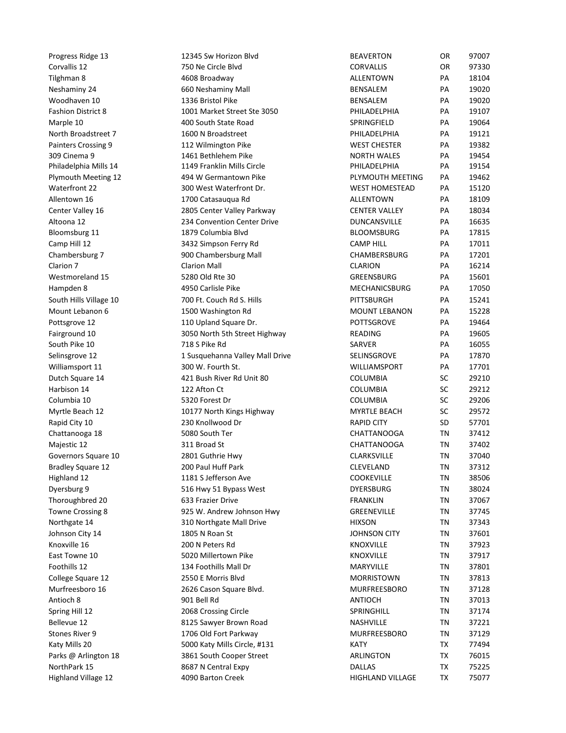| Progress Ridge 13                            | 12345 Sw Horizon Blvd                                 | <b>BEAVERTON</b>                         | OR              | 97007          |
|----------------------------------------------|-------------------------------------------------------|------------------------------------------|-----------------|----------------|
| Corvallis 12                                 | 750 Ne Circle Blvd                                    | <b>CORVALLIS</b>                         | OR              | 97330          |
| Tilghman 8                                   | 4608 Broadway                                         | ALLENTOWN                                | PA              | 18104          |
| Neshaminy 24                                 | 660 Neshaminy Mall                                    | <b>BENSALEM</b>                          | PA              | 19020          |
| Woodhaven 10                                 | 1336 Bristol Pike                                     | BENSALEM                                 | PA              | 19020          |
| <b>Fashion District 8</b><br>Marple 10       | 1001 Market Street Ste 3050<br>400 South State Road   | PHILADELPHIA<br>SPRINGFIELD              | PA<br>PA        | 19107<br>19064 |
| North Broadstreet 7                          | 1600 N Broadstreet                                    | PHILADELPHIA                             | PA              | 19121          |
| Painters Crossing 9                          | 112 Wilmington Pike                                   | <b>WEST CHESTER</b>                      | PA              | 19382          |
| 309 Cinema 9                                 | 1461 Bethlehem Pike                                   | <b>NORTH WALES</b>                       | PA              | 19454          |
| Philadelphia Mills 14<br>Plymouth Meeting 12 | 1149 Franklin Mills Circle<br>494 W Germantown Pike   | PHILADELPHIA<br>PLYMOUTH MEETING         | PA<br>PA        | 19154<br>19462 |
| Waterfront 22                                | 300 West Waterfront Dr.                               | <b>WEST HOMESTEAD</b>                    | PA              | 15120          |
| Allentown 16                                 | 1700 Catasauqua Rd                                    | <b>ALLENTOWN</b>                         | PA              | 18109          |
| Center Valley 16                             | 2805 Center Valley Parkway                            | <b>CENTER VALLEY</b>                     | PA              | 18034          |
| Altoona 12<br>Bloomsburg 11                  | 234 Convention Center Drive<br>1879 Columbia Blvd     | DUNCANSVILLE<br><b>BLOOMSBURG</b>        | PA<br>PA        | 16635<br>17815 |
| Camp Hill 12                                 | 3432 Simpson Ferry Rd                                 | <b>CAMP HILL</b>                         | PA              | 17011          |
| Chambersburg 7                               | 900 Chambersburg Mall                                 | CHAMBERSBURG                             | PA              | 17201          |
| Clarion 7                                    | <b>Clarion Mall</b>                                   | <b>CLARION</b>                           | PA              | 16214          |
| Westmoreland 15                              | 5280 Old Rte 30                                       | GREENSBURG                               | PA              | 15601          |
| Hampden 8                                    | 4950 Carlisle Pike                                    | <b>MECHANICSBURG</b>                     | PA              | 17050          |
| South Hills Village 10<br>Mount Lebanon 6    | 700 Ft. Couch Rd S. Hills<br>1500 Washington Rd       | PITTSBURGH<br><b>MOUNT LEBANON</b>       | PA<br>PA        | 15241<br>15228 |
| Pottsgrove 12                                | 110 Upland Square Dr.                                 | POTTSGROVE                               | PA              | 19464          |
| Fairground 10                                | 3050 North 5th Street Highway                         | <b>READING</b>                           | PA              | 19605          |
| South Pike 10                                | 718 S Pike Rd                                         | SARVER                                   | PA              | 16055          |
| Selinsgrove 12                               | 1 Susquehanna Valley Mall Drive                       | SELINSGROVE                              | PA              | 17870          |
| Williamsport 11<br>Dutch Square 14           | 300 W. Fourth St.<br>421 Bush River Rd Unit 80        | WILLIAMSPORT<br>COLUMBIA                 | PA<br><b>SC</b> | 17701<br>29210 |
| Harbison 14                                  | 122 Afton Ct                                          | COLUMBIA                                 | SC              | 29212          |
| Columbia 10                                  | 5320 Forest Dr                                        | COLUMBIA                                 | <b>SC</b>       | 29206          |
| Myrtle Beach 12                              | 10177 North Kings Highway                             | <b>MYRTLE BEACH</b>                      | SC              | 29572          |
| Rapid City 10                                | 230 Knollwood Dr                                      | <b>RAPID CITY</b>                        | SD              | 57701          |
| Chattanooga 18<br>Majestic 12                | 5080 South Ter<br>311 Broad St                        | <b>CHATTANOOGA</b><br><b>CHATTANOOGA</b> | TN<br>TN        | 37412<br>37402 |
| Governors Square 10                          | 2801 Guthrie Hwy                                      | CLARKSVILLE                              | TN              | 37040          |
| <b>Bradley Square 12</b>                     | 200 Paul Huff Park                                    | CLEVELAND                                | TN              | 37312          |
| Highland 12                                  | 1181 S Jefferson Ave                                  | <b>COOKEVILLE</b>                        | TN              | 38506          |
| Dyersburg 9                                  | 516 Hwy 51 Bypass West                                | <b>DYERSBURG</b>                         | TN              | 38024          |
| Thoroughbred 20<br>Towne Crossing 8          | 633 Frazier Drive<br>925 W. Andrew Johnson Hwy        | <b>FRANKLIN</b><br>GREENEVILLE           | TN<br>TN        | 37067<br>37745 |
| Northgate 14                                 | 310 Northgate Mall Drive                              | <b>HIXSON</b>                            | TN              | 37343          |
| Johnson City 14                              | 1805 N Roan St                                        | <b>JOHNSON CITY</b>                      | TN              | 37601          |
| Knoxville 16                                 | 200 N Peters Rd                                       | <b>KNOXVILLE</b>                         | TN              | 37923          |
| East Towne 10                                | 5020 Millertown Pike                                  | <b>KNOXVILLE</b>                         | TN              | 37917          |
| Foothills 12<br>College Square 12            | 134 Foothills Mall Dr<br>2550 E Morris Blvd           | MARYVILLE<br><b>MORRISTOWN</b>           | TN<br>TN        | 37801<br>37813 |
| Murfreesboro 16                              | 2626 Cason Square Blvd.                               | MURFREESBORO                             | TN              | 37128          |
| Antioch 8                                    | 901 Bell Rd                                           | <b>ANTIOCH</b>                           | TN              | 37013          |
| Spring Hill 12                               | 2068 Crossing Circle                                  | SPRINGHILL                               | TN              | 37174          |
| Bellevue 12                                  | 8125 Sawyer Brown Road                                | NASHVILLE                                | TN              | 37221          |
| Stones River 9<br>Katy Mills 20              | 1706 Old Fort Parkway<br>5000 Katy Mills Circle, #131 | MURFREESBORO<br><b>KATY</b>              | TN<br>TX        | 37129<br>77494 |
| Parks @ Arlington 18                         | 3861 South Cooper Street                              | ARLINGTON                                | TX              | 76015          |
| NorthPark 15                                 | 8687 N Central Expy                                   | DALLAS                                   | TX              | 75225          |
| Highland Village 12                          | 4090 Barton Creek                                     | HIGHLAND VILLAGE                         | TX              | 75077          |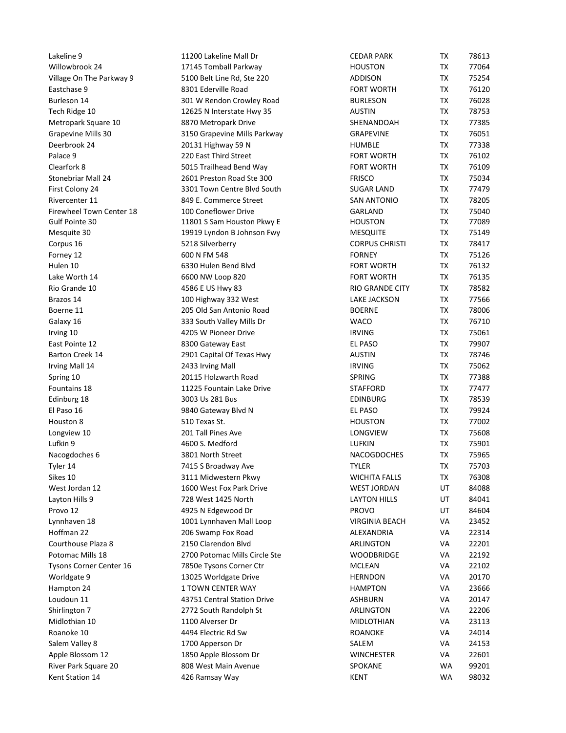| Lakeline 9                                  | 11200 Lakeline Mall Dr                                   | <b>CEDAR PARK</b>                      | TX        | 78613          |  |
|---------------------------------------------|----------------------------------------------------------|----------------------------------------|-----------|----------------|--|
| Willowbrook 24                              | 17145 Tomball Parkway                                    | <b>HOUSTON</b>                         | TX        | 77064          |  |
| Village On The Parkway 9<br>Eastchase 9     | 5100 Belt Line Rd, Ste 220<br>8301 Ederville Road        | <b>ADDISON</b><br><b>FORT WORTH</b>    | TX<br>TX  | 75254<br>76120 |  |
| Burleson 14                                 | 301 W Rendon Crowley Road                                | <b>BURLESON</b>                        | TX        | 76028          |  |
| Tech Ridge 10                               | 12625 N Interstate Hwy 35                                | <b>AUSTIN</b>                          | TX        | 78753          |  |
| Metropark Square 10                         | 8870 Metropark Drive                                     | SHENANDOAH                             | TX        | 77385          |  |
| Grapevine Mills 30                          | 3150 Grapevine Mills Parkway                             | <b>GRAPEVINE</b>                       | TX        | 76051          |  |
| Deerbrook 24<br>Palace 9                    | 20131 Highway 59 N<br>220 East Third Street              | <b>HUMBLE</b><br><b>FORT WORTH</b>     | TX<br>TX  | 77338<br>76102 |  |
| Clearfork 8                                 | 5015 Trailhead Bend Way                                  | <b>FORT WORTH</b>                      | TX        | 76109          |  |
| Stonebriar Mall 24                          | 2601 Preston Road Ste 300                                | <b>FRISCO</b>                          | TX        | 75034          |  |
| First Colony 24                             | 3301 Town Centre Blvd South                              | <b>SUGAR LAND</b>                      | TX        | 77479          |  |
| Rivercenter 11<br>Firewheel Town Center 18  | 849 E. Commerce Street<br>100 Coneflower Drive           | <b>SAN ANTONIO</b><br>GARLAND          | TX<br>TX  | 78205<br>75040 |  |
| Gulf Pointe 30                              | 11801 S Sam Houston Pkwy E                               | <b>HOUSTON</b>                         | TX        | 77089          |  |
| Mesquite 30                                 | 19919 Lyndon B Johnson Fwy                               | <b>MESQUITE</b>                        | <b>TX</b> | 75149          |  |
| Corpus 16<br>Forney 12                      | 5218 Silverberry<br>600 N FM 548                         | <b>CORPUS CHRISTI</b><br><b>FORNEY</b> | TX<br>TX  | 78417<br>75126 |  |
| Hulen 10                                    | 6330 Hulen Bend Blvd                                     | <b>FORT WORTH</b>                      | TX        | 76132          |  |
| Lake Worth 14                               | 6600 NW Loop 820                                         | <b>FORT WORTH</b>                      | TX        | 76135          |  |
| Rio Grande 10                               | 4586 E US Hwy 83                                         | <b>RIO GRANDE CITY</b>                 | TX        | 78582          |  |
| Brazos 14                                   | 100 Highway 332 West                                     | <b>LAKE JACKSON</b>                    | TX        | 77566          |  |
| Boerne 11<br>Galaxy 16                      | 205 Old San Antonio Road<br>333 South Valley Mills Dr    | <b>BOERNE</b><br><b>WACO</b>           | TX<br>TX  | 78006<br>76710 |  |
| Irving 10                                   | 4205 W Pioneer Drive                                     | <b>IRVING</b>                          | TX        | 75061          |  |
| East Pointe 12                              | 8300 Gateway East                                        | EL PASO                                | TX        | 79907          |  |
| Barton Creek 14                             | 2901 Capital Of Texas Hwy                                | AUSTIN                                 | TX        | 78746          |  |
| Irving Mall 14                              | 2433 Irving Mall<br>20115 Holzwarth Road                 | <b>IRVING</b><br>SPRING                | TX<br>TX  | 75062<br>77388 |  |
| Spring 10<br>Fountains 18                   | 11225 Fountain Lake Drive                                | <b>STAFFORD</b>                        | TX        | 77477          |  |
| Edinburg 18                                 | 3003 Us 281 Bus                                          | <b>EDINBURG</b>                        | TX        | 78539          |  |
| El Paso 16                                  | 9840 Gateway Blvd N                                      | EL PASO                                | TX        | 79924          |  |
| Houston 8                                   | 510 Texas St.                                            | <b>HOUSTON</b>                         | TX        | 77002          |  |
| Longview 10<br>Lufkin 9                     | 201 Tall Pines Ave<br>4600 S. Medford                    | LONGVIEW<br>LUFKIN                     | TX<br>TX  | 75608<br>75901 |  |
| Nacogdoches 6                               | 3801 North Street                                        | NACOGDOCHES                            | TX        | 75965          |  |
| Tyler 14                                    | 7415 S Broadway Ave                                      | <b>TYLER</b>                           | TX        | 75703          |  |
| Sikes 10                                    | 3111 Midwestern Pkwy                                     | <b>WICHITA FALLS</b>                   | TX        | 76308          |  |
| West Jordan 12                              | 1600 West Fox Park Drive                                 | <b>WEST JORDAN</b>                     | UT        | 84088          |  |
| Layton Hills 9<br>Provo 12                  | 728 West 1425 North<br>4925 N Edgewood Dr                | <b>LAYTON HILLS</b><br>PROVO           | UT<br>UT  | 84041<br>84604 |  |
| Lynnhaven 18                                | 1001 Lynnhaven Mall Loop                                 | <b>VIRGINIA BEACH</b>                  | VA        | 23452          |  |
| Hoffman 22                                  | 206 Swamp Fox Road                                       | ALEXANDRIA                             | VA        | 22314          |  |
| Courthouse Plaza 8                          | 2150 Clarendon Blvd                                      | ARLINGTON                              | VA        | 22201          |  |
| Potomac Mills 18<br>Tysons Corner Center 16 | 2700 Potomac Mills Circle Ste<br>7850e Tysons Corner Ctr | <b>WOODBRIDGE</b><br><b>MCLEAN</b>     | VA<br>VA  | 22192<br>22102 |  |
| Worldgate 9                                 | 13025 Worldgate Drive                                    | <b>HERNDON</b>                         | VA        | 20170          |  |
| Hampton 24                                  | 1 TOWN CENTER WAY                                        | <b>HAMPTON</b>                         | VA        | 23666          |  |
| Loudoun 11                                  | 43751 Central Station Drive                              | <b>ASHBURN</b>                         | VA        | 20147          |  |
| Shirlington 7                               | 2772 South Randolph St                                   | ARLINGTON                              | VA        | 22206          |  |
| Midlothian 10<br>Roanoke 10                 | 1100 Alverser Dr<br>4494 Electric Rd Sw                  | MIDLOTHIAN<br>ROANOKE                  | VA<br>VA  | 23113<br>24014 |  |
| Salem Valley 8                              | 1700 Apperson Dr                                         | SALEM                                  | VA        | 24153          |  |
| Apple Blossom 12                            | 1850 Apple Blossom Dr                                    | WINCHESTER                             | VA        | 22601          |  |
| River Park Square 20                        | 808 West Main Avenue                                     | SPOKANE                                | <b>WA</b> | 99201<br>98032 |  |
| Kent Station 14                             | 426 Ramsay Way                                           | <b>KENT</b>                            | WA        |                |  |